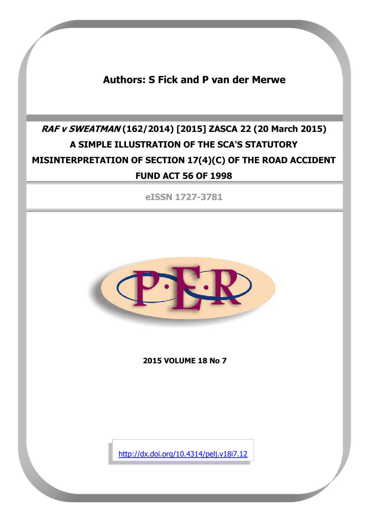**Authors: S Fick and P van der Merwe**

# **RAF v SWEATMAN (162/2014) [2015] ZASCA 22 (20 March 2015) A SIMPLE ILLUSTRATION OF THE SCA'S STATUTORY MISINTERPRETATION OF SECTION 17(4)(C) OF THE ROAD ACCIDENT FUND ACT 56 OF 1998**

**eISSN 1727-3781**



**2015 VOLUME 18 No 7**

<http://dx.doi.org/10.4314/pelj.v18i7.12>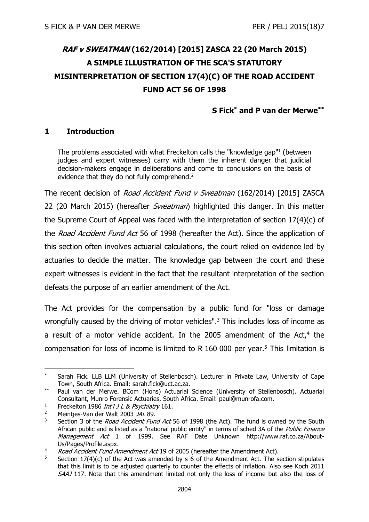## **RAF v SWEATMAN (162/2014) [2015] ZASCA 22 (20 March 2015) A SIMPLE ILLUSTRATION OF THE SCA'S STATUTORY MISINTERPRETATION OF SECTION 17(4)(C) OF THE ROAD ACCIDENT FUND ACT 56 OF 1998**

#### **S Fick\* and P van der Merwe\*\***

#### **1 Introduction**

The problems associated with what Freckelton calls the "knowledge gap" 1 (between judges and expert witnesses) carry with them the inherent danger that judicial decision-makers engage in deliberations and come to conclusions on the basis of evidence that they do not fully comprehend.<sup>2</sup>

The recent decision of Road Accident Fund v Sweatman (162/2014) [2015] ZASCA 22 (20 March 2015) (hereafter *Sweatman*) highlighted this danger. In this matter the Supreme Court of Appeal was faced with the interpretation of section 17(4)(c) of the Road Accident Fund Act 56 of 1998 (hereafter the Act). Since the application of this section often involves actuarial calculations, the court relied on evidence led by actuaries to decide the matter. The knowledge gap between the court and these expert witnesses is evident in the fact that the resultant interpretation of the section defeats the purpose of an earlier amendment of the Act.

The Act provides for the compensation by a public fund for "loss or damage wrongfully caused by the driving of motor vehicles".<sup>3</sup> This includes loss of income as a result of a motor vehicle accident. In the 2005 amendment of the Act, $4$  the compensation for loss of income is limited to R  $160 000$  per year.<sup>5</sup> This limitation is

Sarah Fick. LLB LLM (University of Stellenbosch). Lecturer in Private Law, University of Cape Town, South Africa. Email: sarah.fick@uct.ac.za.

<sup>\*\*</sup> Paul van der Merwe. BCom (Hons) Actuarial Science (University of Stellenbosch). Actuarial Consultant, Munro Forensic Actuaries, South Africa. Email: paul@munrofa.com.

<sup>&</sup>lt;sup>1</sup> Freckelton 1986 *Int'l J L & Psychiatry* 161.

Meintjes-Van der Walt 2003 JAL 89.

<sup>&</sup>lt;sup>3</sup> Section 3 of the *Road Accident Fund Act* 56 of 1998 (the Act). The fund is owned by the South African public and is listed as a "national public entity" in terms of sched 3A of the Public Finance Management Act 1 of 1999. See RAF Date Unknown http://www.raf.co.za/About-Us/Pages/Profile.aspx.

<sup>4</sup> Road Accident Fund Amendment Act 19 of 2005 (hereafter the Amendment Act).

Section 17(4)(c) of the Act was amended by s 6 of the Amendment Act. The section stipulates that this limit is to be adjusted quarterly to counter the effects of inflation. Also see Koch 2011 SAAJ 117. Note that this amendment limited not only the loss of income but also the loss of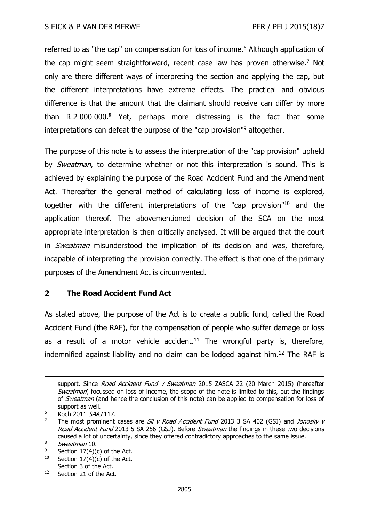referred to as "the cap" on compensation for loss of income.<sup>6</sup> Although application of the cap might seem straightforward, recent case law has proven otherwise. <sup>7</sup> Not only are there different ways of interpreting the section and applying the cap, but the different interpretations have extreme effects. The practical and obvious difference is that the amount that the claimant should receive can differ by more than R 2 000 000. <sup>8</sup> Yet, perhaps more distressing is the fact that some interpretations can defeat the purpose of the "cap provision" <sup>9</sup> altogether.

The purpose of this note is to assess the interpretation of the "cap provision" upheld by *Sweatman*, to determine whether or not this interpretation is sound. This is achieved by explaining the purpose of the Road Accident Fund and the Amendment Act. Thereafter the general method of calculating loss of income is explored, together with the different interpretations of the "cap provision" <sup>10</sup> and the application thereof. The abovementioned decision of the SCA on the most appropriate interpretation is then critically analysed. It will be argued that the court in *Sweatman* misunderstood the implication of its decision and was, therefore, incapable of interpreting the provision correctly. The effect is that one of the primary purposes of the Amendment Act is circumvented.

### **2 The Road Accident Fund Act**

As stated above, the purpose of the Act is to create a public fund, called the Road Accident Fund (the RAF), for the compensation of people who suffer damage or loss as a result of a motor vehicle accident.<sup>11</sup> The wrongful party is, therefore, indemnified against liability and no claim can be lodged against him. <sup>12</sup> The RAF is

- <sup>9</sup> Section 17(4)(c) of the Act.<br><sup>10</sup> Section 17(4)(c) of the Act
- Section  $17(4)(c)$  of the Act.
- <sup>11</sup> Section 3 of the Act.

support. Since Road Accident Fund v Sweatman 2015 ZASCA 22 (20 March 2015) (hereafter Sweatman) focussed on loss of income, the scope of the note is limited to this, but the findings of *Sweatman* (and hence the conclusion of this note) can be applied to compensation for loss of support as well.

<sup>&</sup>lt;sup>6</sup> Koch 2011 SAAJ 117.

<sup>&</sup>lt;sup>7</sup> The most prominent cases are *Sil v Road Accident Fund* 2013 3 SA 402 (GSJ) and *Jonosky v* Road Accident Fund 2013 5 SA 256 (GSJ). Before Sweatman the findings in these two decisions caused a lot of uncertainty, since they offered contradictory approaches to the same issue.

 $\frac{8}{9}$  Sweatman 10.

<sup>12</sup> Section 21 of the Act.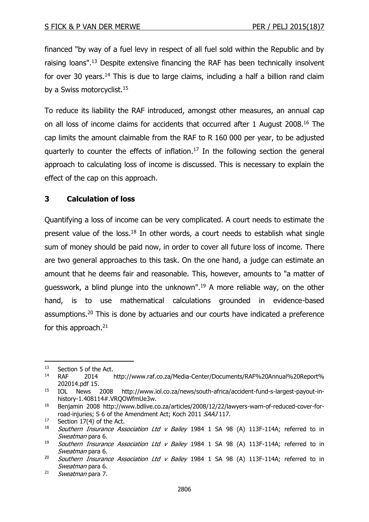financed "by way of a fuel levy in respect of all fuel sold within the Republic and by raising loans".<sup>13</sup> Despite extensive financing the RAF has been technically insolvent for over 30 years.<sup>14</sup> This is due to large claims, including a half a billion rand claim by a Swiss motorcyclist.<sup>15</sup>

To reduce its liability the RAF introduced, amongst other measures, an annual cap on all loss of income claims for accidents that occurred after 1 August 2008.<sup>16</sup> The cap limits the amount claimable from the RAF to R 160 000 per year, to be adjusted quarterly to counter the effects of inflation.<sup>17</sup> In the following section the general approach to calculating loss of income is discussed. This is necessary to explain the effect of the cap on this approach.

#### **3 Calculation of loss**

Quantifying a loss of income can be very complicated. A court needs to estimate the present value of the loss.<sup>18</sup> In other words, a court needs to establish what single sum of money should be paid now, in order to cover all future loss of income. There are two general approaches to this task. On the one hand, a judge can estimate an amount that he deems fair and reasonable. This, however, amounts to "a matter of guesswork, a blind plunge into the unknown". <sup>19</sup> A more reliable way, on the other hand, is to use mathematical calculations grounded in evidence-based assumptions.<sup>20</sup> This is done by actuaries and our courts have indicated a preference for this approach. $21$ 

<sup>&</sup>lt;sup>13</sup> Section 5 of the Act.<br><sup>14</sup> RAF 2014

<sup>14</sup> RAF 2014 http://www.raf.co.za/Media-Center/Documents/RAF%20Annual%20Report% 202014.pdf 15.

<sup>15</sup> IOL News 2008 http://www.iol.co.za/news/south-africa/accident-fund-s-largest-payout-inhistory-1.408114#.VRQOWfmUe3w.

<sup>&</sup>lt;sup>16</sup> Benjamin 2008 http://www.bdlive.co.za/articles/2008/12/22/lawyers-warn-of-reduced-cover-forroad-injuries; S 6 of the Amendment Act; Koch 2011 SAAJ 117.

 $17$  Section 17(4) of the Act.

<sup>&</sup>lt;sup>18</sup> Southern Insurance Association Ltd v Bailey 1984 1 SA 98 (A) 113F-114A; referred to in Sweatman para 6.

<sup>&</sup>lt;sup>19</sup> Southern Insurance Association Ltd v Bailey 1984 1 SA 98 (A) 113F-114A; referred to in Sweatman para 6.

<sup>&</sup>lt;sup>20</sup> Southern Insurance Association Ltd v Bailey 1984 1 SA 98 (A) 113F-114A; referred to in Sweatman para 6.

 $21$  Sweatman para 7.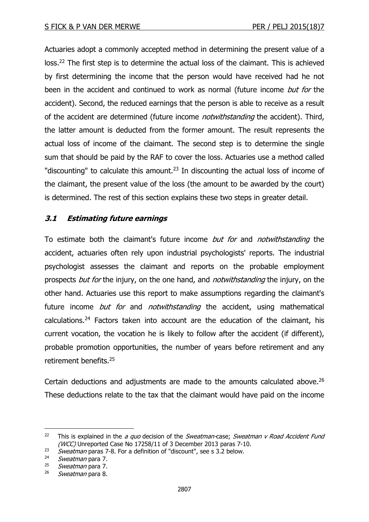Actuaries adopt a commonly accepted method in determining the present value of a loss.<sup>22</sup> The first step is to determine the actual loss of the claimant. This is achieved by first determining the income that the person would have received had he not been in the accident and continued to work as normal (future income but for the accident). Second, the reduced earnings that the person is able to receive as a result of the accident are determined (future income *notwithstanding* the accident). Third, the latter amount is deducted from the former amount. The result represents the actual loss of income of the claimant. The second step is to determine the single sum that should be paid by the RAF to cover the loss. Actuaries use a method called "discounting" to calculate this amount.<sup>23</sup> In discounting the actual loss of income of the claimant, the present value of the loss (the amount to be awarded by the court) is determined. The rest of this section explains these two steps in greater detail.

### **3.1 Estimating future earnings**

To estimate both the claimant's future income but for and notwithstanding the accident, actuaries often rely upon industrial psychologists' reports. The industrial psychologist assesses the claimant and reports on the probable employment prospects but for the injury, on the one hand, and *notwithstanding* the injury, on the other hand. Actuaries use this report to make assumptions regarding the claimant's future income but for and notwithstanding the accident, using mathematical calculations.<sup>24</sup> Factors taken into account are the education of the claimant, his current vocation, the vocation he is likely to follow after the accident (if different), probable promotion opportunities, the number of years before retirement and any retirement benefits.<sup>25</sup>

Certain deductions and adjustments are made to the amounts calculated above.<sup>26</sup> These deductions relate to the tax that the claimant would have paid on the income

<sup>-</sup><sup>22</sup> This is explained in the *a quo* decision of the *Sweatman-case; Sweatman v Road Accident Fund* (WCC) Unreported Case No 17258/11 of 3 December 2013 paras 7-10.

<sup>&</sup>lt;sup>23</sup> Sweatman paras 7-8. For a definition of "discount", see s 3.2 below.

Sweatman para 7.

 $25$  Sweatman para 7.

<sup>&</sup>lt;sup>26</sup> Sweatman para 8.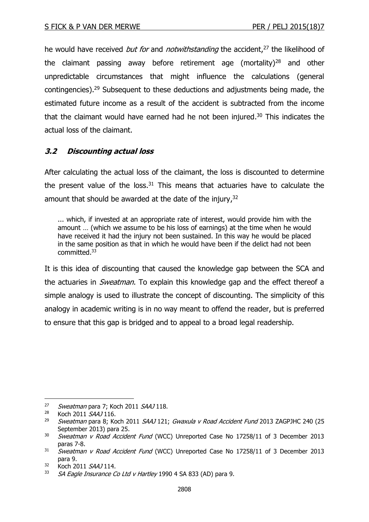he would have received *but for* and *notwithstanding* the accident,<sup>27</sup> the likelihood of the claimant passing away before retirement age (mortality)<sup>28</sup> and other unpredictable circumstances that might influence the calculations (general contingencies).<sup>29</sup> Subsequent to these deductions and adjustments being made, the estimated future income as a result of the accident is subtracted from the income that the claimant would have earned had he not been injured.<sup>30</sup> This indicates the actual loss of the claimant.

### **3.2 Discounting actual loss**

After calculating the actual loss of the claimant, the loss is discounted to determine the present value of the loss. $31$  This means that actuaries have to calculate the amount that should be awarded at the date of the injury,  $32$ 

... which, if invested at an appropriate rate of interest, would provide him with the amount … (which we assume to be his loss of earnings) at the time when he would have received it had the injury not been sustained. In this way he would be placed in the same position as that in which he would have been if the delict had not been committed.<sup>33</sup>

It is this idea of discounting that caused the knowledge gap between the SCA and the actuaries in *Sweatman*. To explain this knowledge gap and the effect thereof a simple analogy is used to illustrate the concept of discounting. The simplicity of this analogy in academic writing is in no way meant to offend the reader, but is preferred to ensure that this gap is bridged and to appeal to a broad legal readership.

<sup>-</sup><sup>27</sup> Sweatman para 7; Koch 2011 SAAJ 118.

<sup>&</sup>lt;sup>28</sup> Koch 2011 SAAJ 116.

<sup>&</sup>lt;sup>29</sup> Sweatman para 8; Koch 2011 SAAJ 121; Gwaxula v Road Accident Fund 2013 ZAGPJHC 240 (25 September 2013) para 25.

<sup>&</sup>lt;sup>30</sup> Sweatman v Road Accident Fund (WCC) Unreported Case No 17258/11 of 3 December 2013 paras 7-8.

 $31$  Sweatman v Road Accident Fund (WCC) Unreported Case No 17258/11 of 3 December 2013 para 9.

 $32$  Koch 2011 SAAJ 114.

<sup>33</sup> SA Eagle Insurance Co Ltd v Hartley 1990 4 SA 833 (AD) para 9.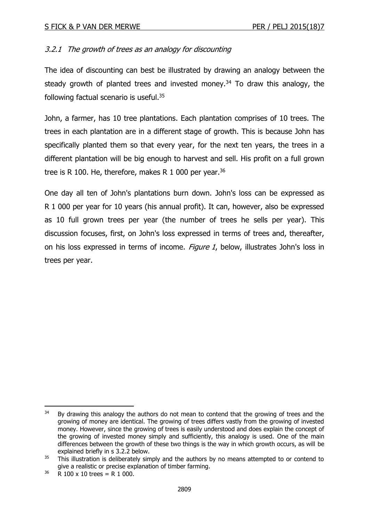### 3.2.1 The growth of trees as an analogy for discounting

The idea of discounting can best be illustrated by drawing an analogy between the steady growth of planted trees and invested money.<sup>34</sup> To draw this analogy, the following factual scenario is useful.<sup>35</sup>

John, a farmer, has 10 tree plantations. Each plantation comprises of 10 trees. The trees in each plantation are in a different stage of growth. This is because John has specifically planted them so that every year, for the next ten years, the trees in a different plantation will be big enough to harvest and sell. His profit on a full grown tree is R 100. He, therefore, makes R 1 000 per year.<sup>36</sup>

One day all ten of John's plantations burn down. John's loss can be expressed as R 1 000 per year for 10 years (his annual profit). It can, however, also be expressed as 10 full grown trees per year (the number of trees he sells per year). This discussion focuses, first, on John's loss expressed in terms of trees and, thereafter, on his loss expressed in terms of income. Figure 1, below, illustrates John's loss in trees per year.

<sup>&</sup>lt;sup>34</sup> By drawing this analogy the authors do not mean to contend that the growing of trees and the growing of money are identical. The growing of trees differs vastly from the growing of invested money. However, since the growing of trees is easily understood and does explain the concept of the growing of invested money simply and sufficiently, this analogy is used. One of the main differences between the growth of these two things is the way in which growth occurs, as will be explained briefly in s 3.2.2 below.

 $35$  This illustration is deliberately simply and the authors by no means attempted to or contend to give a realistic or precise explanation of timber farming.

 $36$  R 100 x 10 trees = R 1 000.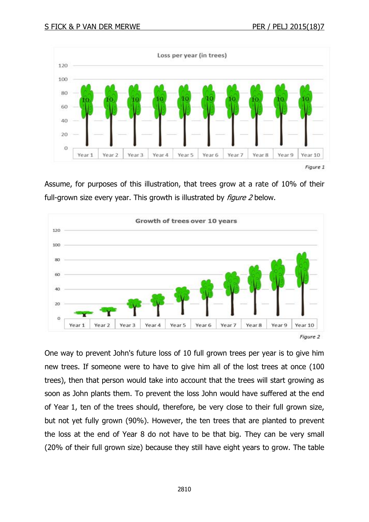

Assume, for purposes of this illustration, that trees grow at a rate of 10% of their full-grown size every year. This growth is illustrated by *figure 2* below.



One way to prevent John's future loss of 10 full grown trees per year is to give him new trees. If someone were to have to give him all of the lost trees at once (100 trees), then that person would take into account that the trees will start growing as soon as John plants them. To prevent the loss John would have suffered at the end of Year 1, ten of the trees should, therefore, be very close to their full grown size, but not yet fully grown (90%). However, the ten trees that are planted to prevent the loss at the end of Year 8 do not have to be that big. They can be very small (20% of their full grown size) because they still have eight years to grow. The table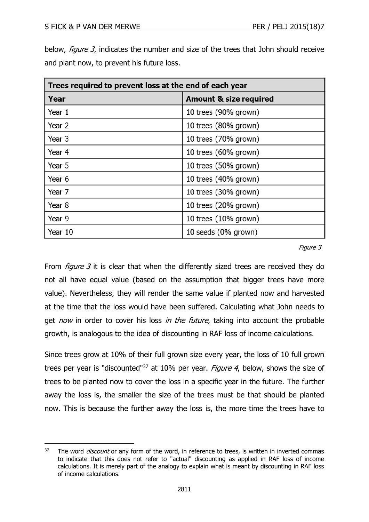-

| Trees required to prevent loss at the end of each year |                                   |
|--------------------------------------------------------|-----------------------------------|
| Year                                                   | <b>Amount &amp; size required</b> |
| Year 1                                                 | 10 trees (90% grown)              |
| Year 2                                                 | 10 trees (80% grown)              |
| Year 3                                                 | 10 trees (70% grown)              |
| Year 4                                                 | 10 trees (60% grown)              |
| Year 5                                                 | 10 trees $(50\%$ grown)           |
| Year 6                                                 | 10 trees (40% grown)              |
| Year 7                                                 | 10 trees (30% grown)              |
| Year 8                                                 | 10 trees $(20\%$ grown)           |
| Year 9                                                 | 10 trees $(10\%$ grown)           |
| Year 10                                                | 10 seeds (0% grown)               |

below, *figure 3*, indicates the number and size of the trees that John should receive and plant now, to prevent his future loss.

#### Figure 3

From *figure 3* it is clear that when the differently sized trees are received they do not all have equal value (based on the assumption that bigger trees have more value). Nevertheless, they will render the same value if planted now and harvested at the time that the loss would have been suffered. Calculating what John needs to get now in order to cover his loss in the future, taking into account the probable growth, is analogous to the idea of discounting in RAF loss of income calculations.

Since trees grow at 10% of their full grown size every year, the loss of 10 full grown trees per year is "discounted"<sup>37</sup> at 10% per year. *Figure 4*, below, shows the size of trees to be planted now to cover the loss in a specific year in the future. The further away the loss is, the smaller the size of the trees must be that should be planted now. This is because the further away the loss is, the more time the trees have to

 $37$  The word *discount* or any form of the word, in reference to trees, is written in inverted commas to indicate that this does not refer to "actual" discounting as applied in RAF loss of income calculations. It is merely part of the analogy to explain what is meant by discounting in RAF loss of income calculations.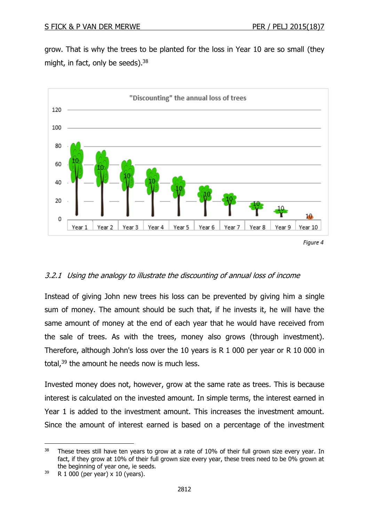grow. That is why the trees to be planted for the loss in Year 10 are so small (they might, in fact, only be seeds).<sup>38</sup>



### 3.2.1 Using the analogy to illustrate the discounting of annual loss of income

Instead of giving John new trees his loss can be prevented by giving him a single sum of money. The amount should be such that, if he invests it, he will have the same amount of money at the end of each year that he would have received from the sale of trees. As with the trees, money also grows (through investment). Therefore, although John's loss over the 10 years is R 1 000 per year or R 10 000 in total, <sup>39</sup> the amount he needs now is much less.

Invested money does not, however, grow at the same rate as trees. This is because interest is calculated on the invested amount. In simple terms, the interest earned in Year 1 is added to the investment amount. This increases the investment amount. Since the amount of interest earned is based on a percentage of the investment

<sup>&</sup>lt;sup>38</sup> These trees still have ten years to grow at a rate of 10% of their full grown size every year. In fact, if they grow at 10% of their full grown size every year, these trees need to be 0% grown at the beginning of year one, ie seeds.

 $39$  R 1 000 (per year) x 10 (years).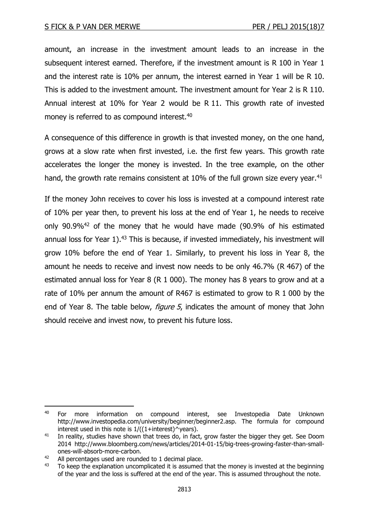amount, an increase in the investment amount leads to an increase in the subsequent interest earned. Therefore, if the investment amount is R 100 in Year 1 and the interest rate is 10% per annum, the interest earned in Year 1 will be R 10. This is added to the investment amount. The investment amount for Year 2 is R 110. Annual interest at 10% for Year 2 would be R 11. This growth rate of invested money is referred to as compound interest.<sup>40</sup>

A consequence of this difference in growth is that invested money, on the one hand, grows at a slow rate when first invested, i.e. the first few years. This growth rate accelerates the longer the money is invested. In the tree example, on the other hand, the growth rate remains consistent at 10% of the full grown size every year.<sup>41</sup>

If the money John receives to cover his loss is invested at a compound interest rate of 10% per year then, to prevent his loss at the end of Year 1, he needs to receive only 90.9%<sup>42</sup> of the money that he would have made (90.9% of his estimated annual loss for Year 1).<sup>43</sup> This is because, if invested immediately, his investment will grow 10% before the end of Year 1. Similarly, to prevent his loss in Year 8, the amount he needs to receive and invest now needs to be only 46.7% (R 467) of the estimated annual loss for Year 8 (R 1 000). The money has 8 years to grow and at a rate of 10% per annum the amount of R467 is estimated to grow to R 1 000 by the end of Year 8. The table below, *figure 5*, indicates the amount of money that John should receive and invest now, to prevent his future loss.

<sup>&</sup>lt;sup>40</sup> For more information on compound interest, see Investopedia Date Unknown http://www.investopedia.com/university/beginner/beginner2.asp. The formula for compound interest used in this note is  $1/((1+interest)^\wedge$ years).

<sup>&</sup>lt;sup>41</sup> In reality, studies have shown that trees do, in fact, grow faster the bigger they get. See Doom 2014 http://www.bloomberg.com/news/articles/2014-01-15/big-trees-growing-faster-than-smallones-will-absorb-more-carbon.

 $42$  All percentages used are rounded to 1 decimal place.

<sup>&</sup>lt;sup>43</sup> To keep the explanation uncomplicated it is assumed that the money is invested at the beginning of the year and the loss is suffered at the end of the year. This is assumed throughout the note.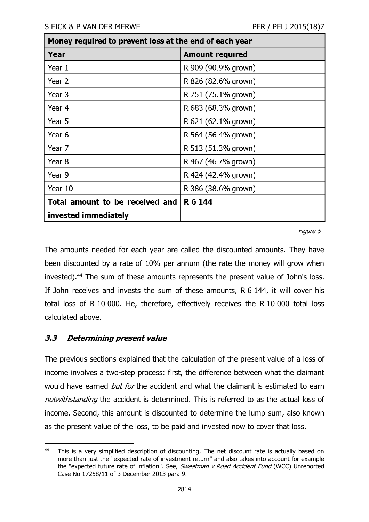| Money required to prevent loss at the end of each year |                        |
|--------------------------------------------------------|------------------------|
| Year                                                   | <b>Amount required</b> |
| Year 1                                                 | R 909 (90.9% grown)    |
| Year 2                                                 | R 826 (82.6% grown)    |
| Year 3                                                 | R 751 (75.1% grown)    |
| Year 4                                                 | R 683 (68.3% grown)    |
| Year 5                                                 | R 621 (62.1% grown)    |
| Year 6                                                 | R 564 (56.4% grown)    |
| Year 7                                                 | R 513 (51.3% grown)    |
| Year 8                                                 | R 467 (46.7% grown)    |
| Year 9                                                 | R 424 (42.4% grown)    |
| Year 10                                                | R 386 (38.6% grown)    |
| Total amount to be received and                        | R 6 144                |
| invested immediately                                   |                        |

#### Figure 5

The amounts needed for each year are called the discounted amounts. They have been discounted by a rate of 10% per annum (the rate the money will grow when invested).<sup>44</sup> The sum of these amounts represents the present value of John's loss. If John receives and invests the sum of these amounts, R 6 144, it will cover his total loss of R 10 000. He, therefore, effectively receives the R 10 000 total loss calculated above.

#### **3.3 Determining present value**

The previous sections explained that the calculation of the present value of a loss of income involves a two-step process: first, the difference between what the claimant would have earned *but for* the accident and what the claimant is estimated to earn notwithstanding the accident is determined. This is referred to as the actual loss of income. Second, this amount is discounted to determine the lump sum, also known as the present value of the loss, to be paid and invested now to cover that loss.

<sup>-</sup><sup>44</sup> This is a very simplified description of discounting. The net discount rate is actually based on more than just the "expected rate of investment return" and also takes into account for example the "expected future rate of inflation". See, Sweatman v Road Accident Fund (WCC) Unreported Case No 17258/11 of 3 December 2013 para 9.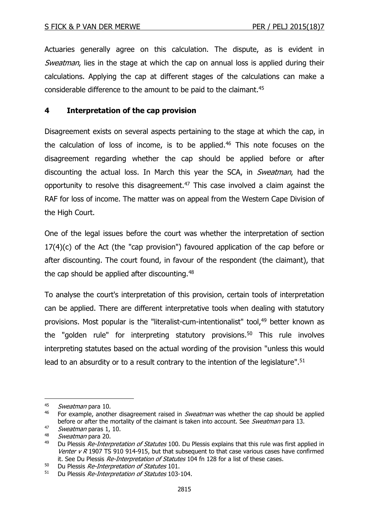Actuaries generally agree on this calculation. The dispute, as is evident in Sweatman, lies in the stage at which the cap on annual loss is applied during their calculations. Applying the cap at different stages of the calculations can make a considerable difference to the amount to be paid to the claimant. 45

#### **4 Interpretation of the cap provision**

Disagreement exists on several aspects pertaining to the stage at which the cap, in the calculation of loss of income, is to be applied. <sup>46</sup> This note focuses on the disagreement regarding whether the cap should be applied before or after discounting the actual loss. In March this year the SCA, in *Sweatman*, had the opportunity to resolve this disagreement.<sup>47</sup> This case involved a claim against the RAF for loss of income. The matter was on appeal from the Western Cape Division of the High Court.

One of the legal issues before the court was whether the interpretation of section 17(4)(c) of the Act (the "cap provision") favoured application of the cap before or after discounting. The court found, in favour of the respondent (the claimant), that the cap should be applied after discounting.<sup>48</sup>

To analyse the court's interpretation of this provision, certain tools of interpretation can be applied. There are different interpretative tools when dealing with statutory provisions. Most popular is the "literalist-cum-intentionalist" tool,<sup>49</sup> better known as the "golden rule" for interpreting statutory provisions.<sup>50</sup> This rule involves interpreting statutes based on the actual wording of the provision "unless this would lead to an absurdity or to a result contrary to the intention of the legislature".<sup>51</sup>

<sup>45</sup> Sweatman para 10.

 $46$  For example, another disagreement raised in *Sweatman* was whether the cap should be applied before or after the mortality of the claimant is taken into account. See *Sweatman* para 13.

<sup>47</sup> Sweatman paras 1, 10.

<sup>48</sup> Sweatman para 20.

<sup>&</sup>lt;sup>49</sup> Du Plessis *Re-Interpretation of Statutes* 100. Du Plessis explains that this rule was first applied in Venter v R 1907 TS 910 914-915, but that subsequent to that case various cases have confirmed it. See Du Plessis Re-Interpretation of Statutes 104 fn 128 for a list of these cases.

 $50$  Du Plessis Re-Interpretation of Statutes 101.

<sup>&</sup>lt;sup>51</sup> Du Plessis Re-Interpretation of Statutes 103-104.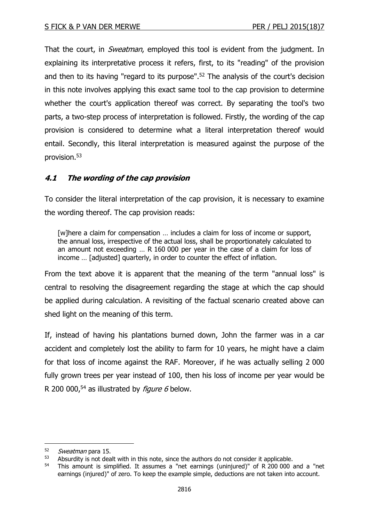That the court, in *Sweatman*, employed this tool is evident from the judgment. In explaining its interpretative process it refers, first, to its "reading" of the provision and then to its having "regard to its purpose". <sup>52</sup> The analysis of the court's decision in this note involves applying this exact same tool to the cap provision to determine whether the court's application thereof was correct. By separating the tool's two parts, a two-step process of interpretation is followed. Firstly, the wording of the cap provision is considered to determine what a literal interpretation thereof would entail. Secondly, this literal interpretation is measured against the purpose of the provision.<sup>53</sup>

#### **4.1 The wording of the cap provision**

To consider the literal interpretation of the cap provision, it is necessary to examine the wording thereof. The cap provision reads:

[w]here a claim for compensation ... includes a claim for loss of income or support, the annual loss, irrespective of the actual loss, shall be proportionately calculated to an amount not exceeding … R 160 000 per year in the case of a claim for loss of income … [adjusted] quarterly, in order to counter the effect of inflation.

From the text above it is apparent that the meaning of the term "annual loss" is central to resolving the disagreement regarding the stage at which the cap should be applied during calculation. A revisiting of the factual scenario created above can shed light on the meaning of this term.

If, instead of having his plantations burned down, John the farmer was in a car accident and completely lost the ability to farm for 10 years, he might have a claim for that loss of income against the RAF. Moreover, if he was actually selling 2 000 fully grown trees per year instead of 100, then his loss of income per year would be R 200 000,<sup>54</sup> as illustrated by *figure 6* below.

 $52$  *Sweatman* para 15.<br> $53$  Absurdity is not dea

Absurdity is not dealt with in this note, since the authors do not consider it applicable.

<sup>54</sup> This amount is simplified. It assumes a "net earnings (uninjured)" of R 200 000 and a "net earnings (injured)" of zero. To keep the example simple, deductions are not taken into account.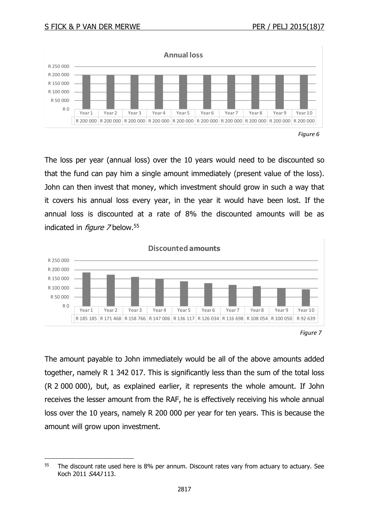

The loss per year (annual loss) over the 10 years would need to be discounted so that the fund can pay him a single amount immediately (present value of the loss). John can then invest that money, which investment should grow in such a way that it covers his annual loss every year, in the year it would have been lost. If the annual loss is discounted at a rate of 8% the discounted amounts will be as indicated in *figure* 7 below.<sup>55</sup>



The amount payable to John immediately would be all of the above amounts added together, namely R 1 342 017. This is significantly less than the sum of the total loss (R 2 000 000), but, as explained earlier, it represents the whole amount. If John receives the lesser amount from the RAF, he is effectively receiving his whole annual loss over the 10 years, namely R 200 000 per year for ten years. This is because the amount will grow upon investment.

<sup>-</sup><sup>55</sup> The discount rate used here is 8% per annum. Discount rates vary from actuary to actuary. See Koch 2011 SAAJ 113.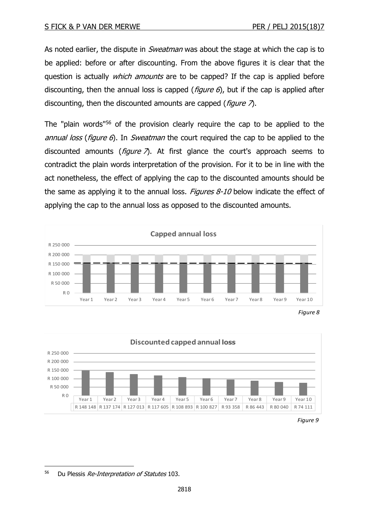As noted earlier, the dispute in *Sweatman* was about the stage at which the cap is to be applied: before or after discounting. From the above figures it is clear that the question is actually *which amounts* are to be capped? If the cap is applied before discounting, then the annual loss is capped (*figure 6*), but if the cap is applied after discounting, then the discounted amounts are capped (*figure*  $\lambda$ ).

The "plain words"<sup>56</sup> of the provision clearly require the cap to be applied to the annual loss (figure  $\delta$ ). In Sweatman the court required the cap to be applied to the discounted amounts (*figure*  $\vec{r}$ ). At first glance the court's approach seems to contradict the plain words interpretation of the provision. For it to be in line with the act nonetheless, the effect of applying the cap to the discounted amounts should be the same as applying it to the annual loss. Figures  $8-10$  below indicate the effect of applying the cap to the annual loss as opposed to the discounted amounts.







*Figure 9*

<sup>56</sup> Du Plessis Re-Interpretation of Statutes 103.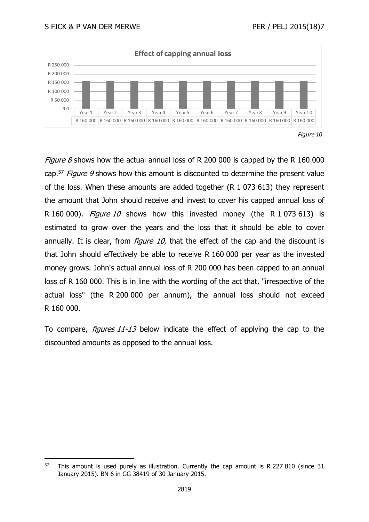

*Figure 8* shows how the actual annual loss of R 200 000 is capped by the R 160 000 cap.<sup>57</sup> Figure 9 shows how this amount is discounted to determine the present value of the loss. When these amounts are added together (R 1 073 613) they represent the amount that John should receive and invest to cover his capped annual loss of R 160 000). Figure 10 shows how this invested money (the R 1 073 613) is estimated to grow over the years and the loss that it should be able to cover annually. It is clear, from *figure 10*, that the effect of the cap and the discount is that John should effectively be able to receive R 160 000 per year as the invested money grows. John's actual annual loss of R 200 000 has been capped to an annual loss of R 160 000. This is in line with the wording of the act that, "irrespective of the actual loss" (the R 200 000 per annum), the annual loss should not exceed R 160 000.

To compare, *figures 11-13* below indicate the effect of applying the cap to the discounted amounts as opposed to the annual loss.

<sup>-</sup> $57$  This amount is used purely as illustration. Currently the cap amount is R 227 810 (since 31) January 2015). BN 6 in GG 38419 of 30 January 2015.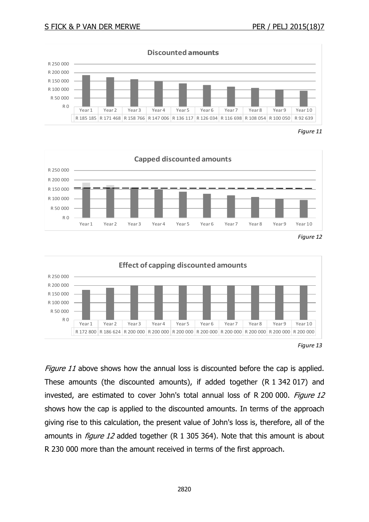

*Figure 11*







Figure 11 above shows how the annual loss is discounted before the cap is applied. These amounts (the discounted amounts), if added together (R 1 342 017) and invested, are estimated to cover John's total annual loss of R 200 000. Figure 12 shows how the cap is applied to the discounted amounts. In terms of the approach giving rise to this calculation, the present value of John's loss is, therefore, all of the amounts in *figure 12* added together (R 1 305 364). Note that this amount is about R 230 000 more than the amount received in terms of the first approach.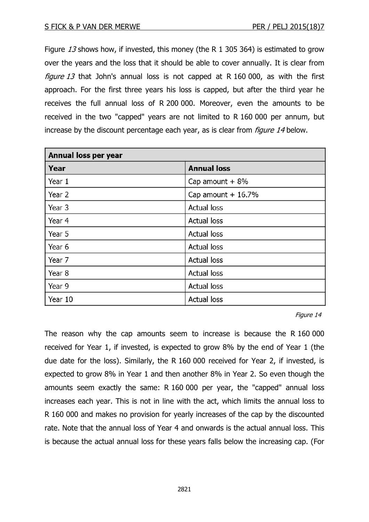Figure 13 shows how, if invested, this money (the R 1 305 364) is estimated to grow over the years and the loss that it should be able to cover annually. It is clear from *figure 13* that John's annual loss is not capped at R 160 000, as with the first approach. For the first three years his loss is capped, but after the third year he receives the full annual loss of R 200 000. Moreover, even the amounts to be received in the two "capped" years are not limited to R 160 000 per annum, but increase by the discount percentage each year, as is clear from *figure 14* below.

| <b>Annual loss per year</b> |                     |
|-----------------------------|---------------------|
| Year                        | <b>Annual loss</b>  |
| Year 1                      | Cap amount $+8\%$   |
| Year 2                      | Cap amount $+16.7%$ |
| Year 3                      | <b>Actual loss</b>  |
| Year 4                      | Actual loss         |
| Year 5                      | Actual loss         |
| Year 6                      | <b>Actual loss</b>  |
| Year 7                      | Actual loss         |
| Year 8                      | Actual loss         |
| Year 9                      | Actual loss         |
| Year 10                     | <b>Actual loss</b>  |

Figure 14

The reason why the cap amounts seem to increase is because the R 160 000 received for Year 1, if invested, is expected to grow 8% by the end of Year 1 (the due date for the loss). Similarly, the R 160 000 received for Year 2, if invested, is expected to grow 8% in Year 1 and then another 8% in Year 2. So even though the amounts seem exactly the same: R 160 000 per year, the "capped" annual loss increases each year. This is not in line with the act, which limits the annual loss to R 160 000 and makes no provision for yearly increases of the cap by the discounted rate. Note that the annual loss of Year 4 and onwards is the actual annual loss. This is because the actual annual loss for these years falls below the increasing cap. (For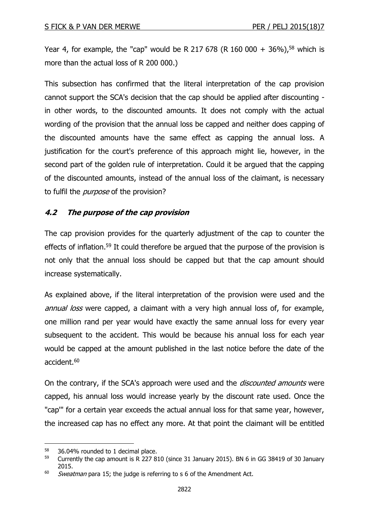Year 4, for example, the "cap" would be R 217 678 (R 160 000 + 36%),<sup>58</sup> which is more than the actual loss of R 200 000.)

This subsection has confirmed that the literal interpretation of the cap provision cannot support the SCA's decision that the cap should be applied after discounting in other words, to the discounted amounts. It does not comply with the actual wording of the provision that the annual loss be capped and neither does capping of the discounted amounts have the same effect as capping the annual loss. A justification for the court's preference of this approach might lie, however, in the second part of the golden rule of interpretation. Could it be argued that the capping of the discounted amounts, instead of the annual loss of the claimant, is necessary to fulfil the *purpose* of the provision?

#### **4.2 The purpose of the cap provision**

The cap provision provides for the quarterly adjustment of the cap to counter the effects of inflation.<sup>59</sup> It could therefore be argued that the purpose of the provision is not only that the annual loss should be capped but that the cap amount should increase systematically.

As explained above, if the literal interpretation of the provision were used and the annual loss were capped, a claimant with a very high annual loss of, for example, one million rand per year would have exactly the same annual loss for every year subsequent to the accident. This would be because his annual loss for each year would be capped at the amount published in the last notice before the date of the accident.<sup>60</sup>

On the contrary, if the SCA's approach were used and the *discounted amounts* were capped, his annual loss would increase yearly by the discount rate used. Once the "cap'" for a certain year exceeds the actual annual loss for that same year, however, the increased cap has no effect any more. At that point the claimant will be entitled

<sup>&</sup>lt;sup>58</sup> 36.04% rounded to 1 decimal place.<br> $\frac{59}{2278}$  Currently the can amount is R 227.8

<sup>59</sup> Currently the cap amount is R 227 810 (since 31 January 2015). BN 6 in GG 38419 of 30 January 2015.

 $60$  Sweatman para 15; the judge is referring to s 6 of the Amendment Act.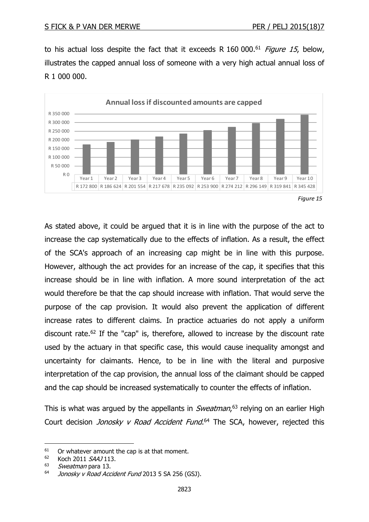to his actual loss despite the fact that it exceeds R 160 000.<sup>61</sup> Figure 15, below, illustrates the capped annual loss of someone with a very high actual annual loss of R 1 000 000.



*Figure 15*

As stated above, it could be argued that it is in line with the purpose of the act to increase the cap systematically due to the effects of inflation. As a result, the effect of the SCA's approach of an increasing cap might be in line with this purpose. However, although the act provides for an increase of the cap, it specifies that this increase should be in line with inflation. A more sound interpretation of the act would therefore be that the cap should increase with inflation. That would serve the purpose of the cap provision. It would also prevent the application of different increase rates to different claims. In practice actuaries do not apply a uniform discount rate.<sup>62</sup> If the "cap" is, therefore, allowed to increase by the discount rate used by the actuary in that specific case, this would cause inequality amongst and uncertainty for claimants. Hence, to be in line with the literal and purposive interpretation of the cap provision, the annual loss of the claimant should be capped and the cap should be increased systematically to counter the effects of inflation.

This is what was argued by the appellants in *Sweatman*,<sup>63</sup> relying on an earlier High Court decision *Jonosky v Road Accident Fund*.<sup>64</sup> The SCA, however, rejected this

<sup>&</sup>lt;sup>61</sup> Or whatever amount the cap is at that moment.<br> $62 \text{ Koch } 2011 \text{ S441112}$ 

Koch 2011 SAAJ 113.

<sup>&</sup>lt;sup>63</sup> Sweatman para 13.

<sup>&</sup>lt;sup>64</sup> Jonosky v Road Accident Fund 2013 5 SA 256 (GSJ).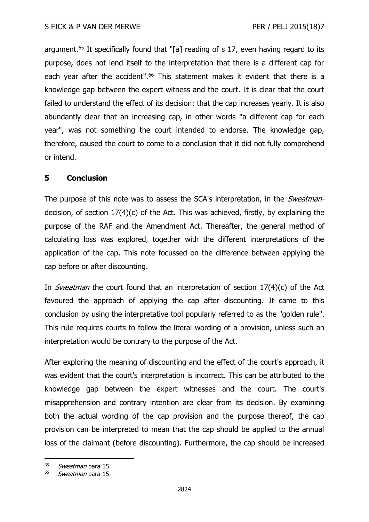argument.<sup>65</sup> It specifically found that "[a] reading of s 17, even having regard to its purpose, does not lend itself to the interpretation that there is a different cap for each year after the accident".<sup>66</sup> This statement makes it evident that there is a knowledge gap between the expert witness and the court. It is clear that the court failed to understand the effect of its decision: that the cap increases yearly. It is also abundantly clear that an increasing cap, in other words "a different cap for each year", was not something the court intended to endorse. The knowledge gap, therefore, caused the court to come to a conclusion that it did not fully comprehend or intend.

#### **5 Conclusion**

The purpose of this note was to assess the SCA's interpretation, in the *Sweatman*decision, of section 17(4)(c) of the Act. This was achieved, firstly, by explaining the purpose of the RAF and the Amendment Act. Thereafter, the general method of calculating loss was explored, together with the different interpretations of the application of the cap. This note focussed on the difference between applying the cap before or after discounting.

In *Sweatman* the court found that an interpretation of section  $17(4)(c)$  of the Act favoured the approach of applying the cap after discounting. It came to this conclusion by using the interpretative tool popularly referred to as the "golden rule". This rule requires courts to follow the literal wording of a provision, unless such an interpretation would be contrary to the purpose of the Act.

After exploring the meaning of discounting and the effect of the court's approach, it was evident that the court's interpretation is incorrect. This can be attributed to the knowledge gap between the expert witnesses and the court. The court's misapprehension and contrary intention are clear from its decision. By examining both the actual wording of the cap provision and the purpose thereof, the cap provision can be interpreted to mean that the cap should be applied to the annual loss of the claimant (before discounting). Furthermore, the cap should be increased

<sup>&</sup>lt;sup>65</sup> Sweatman para 15.

<sup>&</sup>lt;sup>66</sup> Sweatman para 15.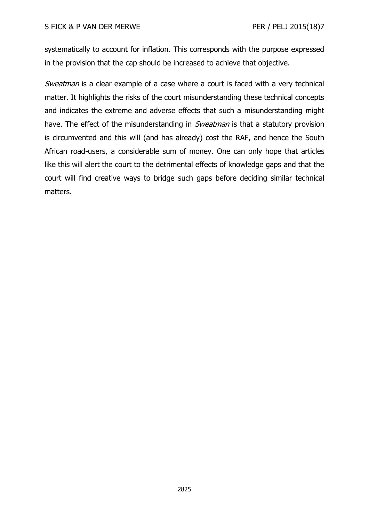systematically to account for inflation. This corresponds with the purpose expressed in the provision that the cap should be increased to achieve that objective.

Sweatman is a clear example of a case where a court is faced with a very technical matter. It highlights the risks of the court misunderstanding these technical concepts and indicates the extreme and adverse effects that such a misunderstanding might have. The effect of the misunderstanding in *Sweatman* is that a statutory provision is circumvented and this will (and has already) cost the RAF, and hence the South African road-users, a considerable sum of money. One can only hope that articles like this will alert the court to the detrimental effects of knowledge gaps and that the court will find creative ways to bridge such gaps before deciding similar technical matters.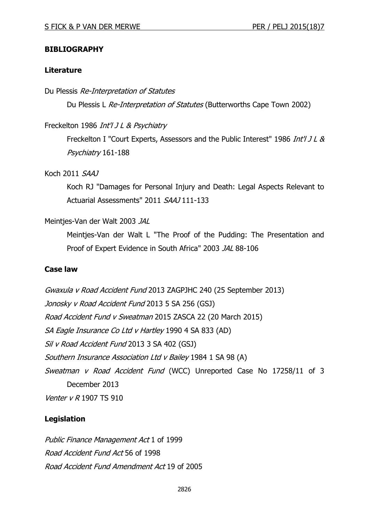#### **BIBLIOGRAPHY**

#### **Literature**

Du Plessis Re-Interpretation of Statutes Du Plessis L Re-Interpretation of Statutes (Butterworths Cape Town 2002)

Freckelton 1986 Int'l J L & Psychiatry

Freckelton I "Court Experts, Assessors and the Public Interest" 1986 Int'l J L & Psychiatry 161-188

Koch 2011 SAAJ

Koch RJ "Damages for Personal Injury and Death: Legal Aspects Relevant to Actuarial Assessments" 2011 SAAJ 111-133

#### Meintjes-Van der Walt 2003 JAL

Meintjes-Van der Walt L "The Proof of the Pudding: The Presentation and Proof of Expert Evidence in South Africa" 2003 JAL 88-106

#### **Case law**

Gwaxula v Road Accident Fund 2013 ZAGPJHC 240 (25 September 2013) Jonosky v Road Accident Fund 2013 5 SA 256 (GSJ) Road Accident Fund v Sweatman 2015 ZASCA 22 (20 March 2015) SA Eagle Insurance Co Ltd v Hartley 1990 4 SA 833 (AD) Sil v Road Accident Fund 2013 3 SA 402 (GSJ) Southern Insurance Association Ltd v Bailey 1984 1 SA 98 (A) Sweatman v Road Accident Fund (WCC) Unreported Case No 17258/11 of 3 December 2013 Venter v R 1907 TS 910

#### **Legislation**

Public Finance Management Act 1 of 1999 Road Accident Fund Act 56 of 1998 Road Accident Fund Amendment Act 19 of 2005

2826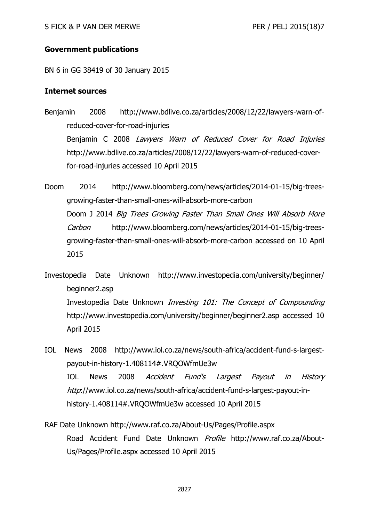### **Government publications**

BN 6 in GG 38419 of 30 January 2015

#### **Internet sources**

Benjamin 2008 http://www.bdlive.co.za/articles/2008/12/22/lawyers-warn-ofreduced-cover-for-road-injuries Benjamin C 2008 Lawyers Warn of Reduced Cover for Road Injuries http://www.bdlive.co.za/articles/2008/12/22/lawyers-warn-of-reduced-coverfor-road-injuries accessed 10 April 2015

Doom 2014 http://www.bloomberg.com/news/articles/2014-01-15/big-treesgrowing-faster-than-small-ones-will-absorb-more-carbon Doom J 2014 Big Trees Growing Faster Than Small Ones Will Absorb More Carbon http://www.bloomberg.com/news/articles/2014-01-15/big-treesgrowing-faster-than-small-ones-will-absorb-more-carbon accessed on 10 April 2015

Investopedia Date Unknown http://www.investopedia.com/university/beginner/ beginner2.asp Investopedia Date Unknown Investing 101: The Concept of Compounding http://www.investopedia.com/university/beginner/beginner2.asp accessed 10 April 2015

IOL News 2008 http://www.iol.co.za/news/south-africa/accident-fund-s-largestpayout-in-history-1.408114#.VRQOWfmUe3w IOL News 2008 Accident Fund's Largest Payout in History http://www.iol.co.za/news/south-africa/accident-fund-s-largest-payout-inhistory-1.408114#.VRQOWfmUe3w accessed 10 April 2015

RAF Date Unknown http://www.raf.co.za/About-Us/Pages/Profile.aspx Road Accident Fund Date Unknown Profile http://www.raf.co.za/About-Us/Pages/Profile.aspx accessed 10 April 2015